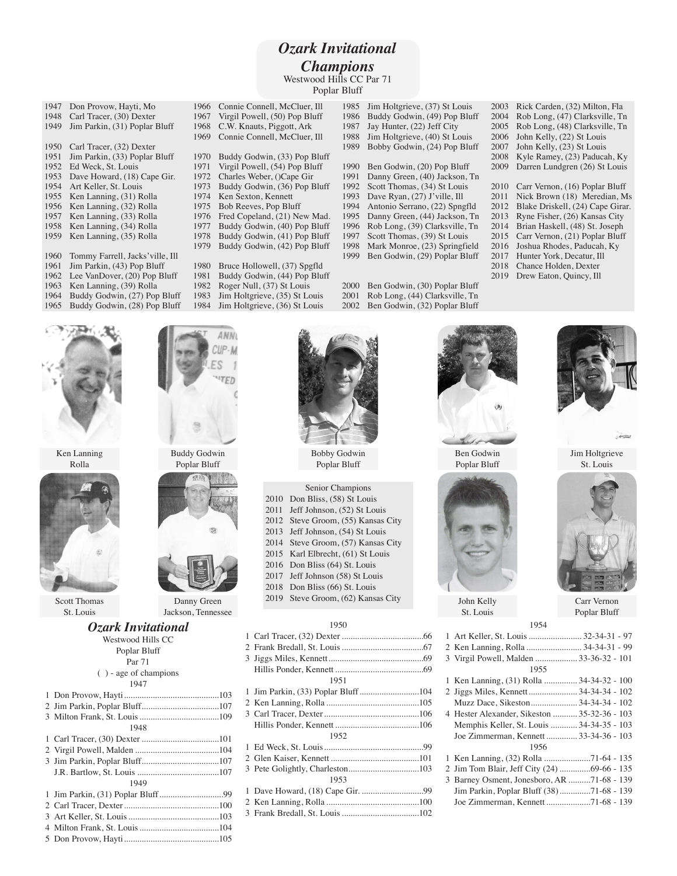## *Ozark Invitational Champions* Westwood Hills CC Par 71

Poplar Bluff

- 1947 Don Provow, Hayti, Mo<br>1948 Carl Tracer, (30) Dexter 1948 Carl Tracer, (30) Dexter<br>1949 Jim Parkin, (31) Poplar Jim Parkin, (31) Poplar Bluff 1950 Carl Tracer, (32) Dexter<br>1951 Jim Parkin, (33) Poplar Jim Parkin, (33) Poplar Bluff Ed Weck, St. Louis Dave Howard, (18) Cape Gir. Art Keller, St. Louis Ken Lanning, (31) Rolla 1956 Ken Lanning, (32) Rolla<br>1957 Ken Lanning, (33) Rolla Ken Lanning, (33) Rolla Ken Lanning, (34) Rolla Ken Lanning, (35) Rolla 1960 Tommy Farrell, Jacks' ville, Ill<br>1961 Jim Parkin, (43) Pop Bluff 1961 Jim Parkin, (43) Pop Bluff<br>1962 Lee VanDover (20) Pop Bl 1962 Lee VanDover, (20) Pop Bluff<br>1963 Ken Lanning, (39) Rolla Ken Lanning, (39) Rolla Buddy Godwin, (27) Pop Bluff
- Buddy Godwin, (28) Pop Bluff



Jim Holtgrieve, (35) St Louis Jim Holtgrieve, (36) St Louis

ANN

1985 Jim Holtgrieve, (37) St Louis<br>1986 Buddy Godwin, (49) Pop Blu 1986 Buddy Godwin, (49) Pop Bluff<br>1987 Jav Hunter, (22) Jeff City Jay Hunter, (22) Jeff City 1988 Jim Holtgrieve, (40) St Louis<br>1989 Bobby Godwin, (24) Pop Blu Bobby Godwin, (24) Pop Bluff 1990 Ben Godwin, (20) Pop Bluff<br>1991 Danny Green, (40) Jackson, 7 Danny Green, (40) Jackson, Tn 1992 Scott Thomas, (34) St Louis<br>1993 Dave Ryan, (27) J'ville, Ill 1993 Dave Ryan,  $(27)$  J'ville, Ill<br>1994 Antonio Serrano,  $(22)$  Spng 1994 Antonio Serrano, (22) Spngfld<br>1995 Danny Green, (44) Jackson, Tr 1995 Danny Green, (44) Jackson, Tn<br>1996 Rob Long, (39) Clarksville, Tn 1996 Rob Long, (39) Clarksville, Tn<br>1997 Scott Thomas, (39) St Louis 1997 Scott Thomas, (39) St Louis<br>1998 Mark Monroe, (23) Springfie 1998 Mark Monroe, (23) Springfield<br>1999 Ben Godwin (29) Poplar Bluff Ben Godwin, (29) Poplar Bluff

 Ben Godwin, (30) Poplar Bluff Rob Long, (44) Clarksville, Tn Ben Godwin, (32) Poplar Bluff

| 2003 | Rick Carden, (32) Milton, Fla    |
|------|----------------------------------|
| 2004 | Rob Long, (47) Clarksville, Tn   |
| 2005 | Rob Long, (48) Clarksville, Tn   |
| 2006 | John Kelly, (22) St Louis        |
| 2007 | John Kelly, (23) St Louis        |
| 2008 | Kyle Ramey, (23) Paducah, Ky     |
| 2009 | Darren Lundgren (26) St Louis    |
|      |                                  |
| 2010 | Carr Vernon, (16) Poplar Bluff   |
| 2011 | Nick Brown (18) Meredian, Ms     |
| 2012 | Blake Driskell, (24) Cape Girar. |
| 2013 | Ryne Fisher, (26) Kansas City    |
| 2014 | Brian Haskell, (48) St. Joseph   |
| 2015 | Carr Vernon, (21) Poplar Bluff   |
| 2016 | Joshua Rhodes, Paducah, Ky       |
| 2017 | Hunter York, Decatur, Ill        |
| 2018 | Chance Holden, Dexter            |
| 2019 | Drew Eaton, Quincy, Ill          |







Scott Thomas St. Louis

# Buddy Godwin Poplar Bluff



Jackson, Tennessee

### *Ozark Invitational*

| Westwood Hills CC        |  |
|--------------------------|--|
| Poplar Bluff             |  |
| Par 71                   |  |
| $( )$ - age of champions |  |
| 1947                     |  |
|                          |  |
|                          |  |
|                          |  |
| 1948                     |  |
|                          |  |
|                          |  |
|                          |  |
|                          |  |
| 1949                     |  |
|                          |  |
|                          |  |
|                          |  |
|                          |  |
|                          |  |
|                          |  |



Poplar Bluff

|      | Senior Champions              |
|------|-------------------------------|
| 2010 | Don Bliss, (58) St Louis      |
| 2011 | Jeff Johnson, (52) St Louis   |
| 2012 | Steve Groom, (55) Kansas City |
| 2013 | Jeff Johnson, (54) St Louis   |
| 2014 | Steve Groom, (57) Kansas City |
| 2015 | Karl Elbrecht, (61) St Louis  |
| 2016 | Don Bliss (64) St. Louis      |
| 2017 | Jeff Johnson (58) St Louis    |
| 2018 | Don Bliss (66) St. Louis      |
| 2019 | Steve Groom, (62) Kansas City |
|      |                               |

#### 

| 1951                               |  |
|------------------------------------|--|
| 1 Jim Parkin, (33) Poplar Bluff104 |  |
|                                    |  |
|                                    |  |
|                                    |  |
| 1952                               |  |
|                                    |  |
|                                    |  |
|                                    |  |
| 1953                               |  |
|                                    |  |
|                                    |  |
|                                    |  |



Poplar Bluff



John Kelly St. Louis



| 1 Art Keller, St. Louis  32-34-31 - 97       |  |
|----------------------------------------------|--|
| 2 Ken Lanning, Rolla  34-34-31 - 99          |  |
| 3 Virgil Powell, Malden  33-36-32 - 101      |  |
| 1955                                         |  |
| 1 Ken Lanning, (31) Rolla  34-34-32 - 100    |  |
| 2 Jiggs Miles, Kennett  34-34-34 - 102       |  |
| Muzz Dace, Sikeston  34-34-34 - 102          |  |
| 4 Hester Alexander, Sikeston  35-32-36 - 103 |  |
| Memphis Keller, St. Louis  34-34-35 - 103    |  |
| Joe Zimmerman, Kennett  33-34-36 - 103       |  |
| 1956                                         |  |
|                                              |  |
| 2 Jim Tom Blair, Jeff City (24) 69-66 - 135  |  |
| 3 Barney Osment, Jonesboro, AR 71-68 - 139   |  |
| Jim Parkin, Poplar Bluff (38)71-68 - 139     |  |
| Joe Zimmerman, Kennett 71-68 - 139           |  |



Jim Holtgrieve St. Louis



Carr Vernon Poplar Bluff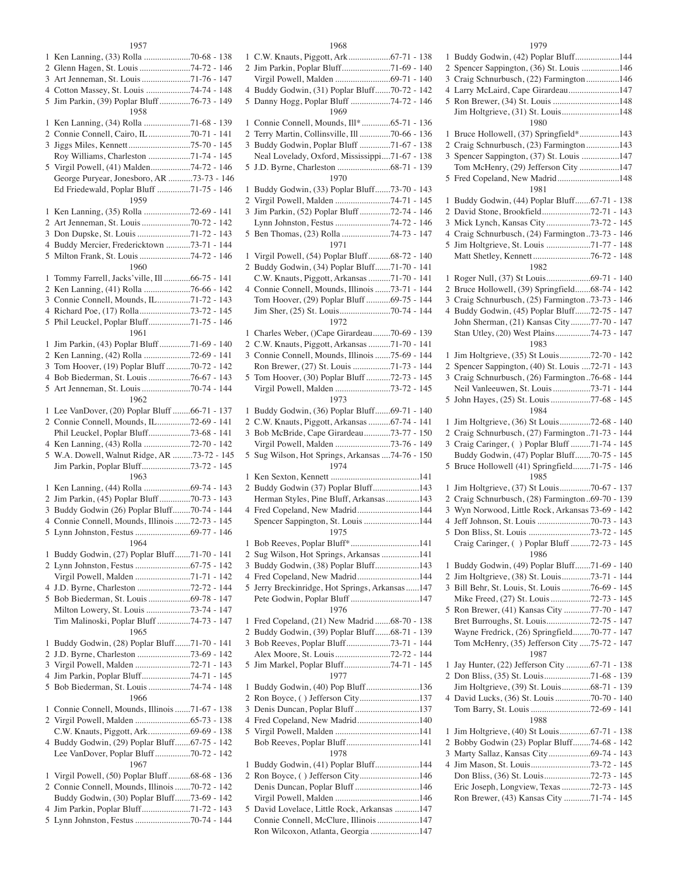#### 

| 1      |                                                                          |
|--------|--------------------------------------------------------------------------|
|        | 2 Glenn Hagen, St. Louis 74-72 - 146                                     |
| 3      | Art Jenneman, St. Louis 71-76 - 147                                      |
|        |                                                                          |
|        | 4 Cotton Massey, St. Louis 74-74 - 148                                   |
| 5      | Jim Parkin, (39) Poplar Bluff 76-73 - 149                                |
|        | 1958                                                                     |
| 1      | Ken Lanning, (34) Rolla 71-68 - 139                                      |
| 2      | Connie Connell, Cairo, IL 70-71 - 141                                    |
|        |                                                                          |
| 3      |                                                                          |
|        | Roy Williams, Charleston 71-74 - 145                                     |
| 5      | Virgil Powell, (41) Malden74-72 - 146                                    |
|        | George Puryear, Jonesboro, AR 73-73 - 146                                |
|        | Ed Friedewald, Poplar Bluff 71-75 - 146                                  |
|        | 1959                                                                     |
|        |                                                                          |
| 1      | Ken Lanning, (35) Rolla 72-69 - 141                                      |
| 2      | Art Jenneman, St. Louis 70-72 - 142                                      |
| 3      | Don Dupske, St. Louis 71-72 - 143                                        |
| 4      | Buddy Mercier, Fredericktown 73-71 - 144                                 |
|        |                                                                          |
| 5      | Milton Frank, St. Louis 74-72 - 146                                      |
|        | 1960                                                                     |
| 1      | Tommy Farrell, Jacks'ville, Ill 66-75 - 141                              |
| 2      | Ken Lanning, (41) Rolla 76-66 - 142                                      |
|        |                                                                          |
| 3      | Connie Connell, Mounds, IL71-72 - 143                                    |
| 4      | Richard Poe, (17) Rolla73-72 - 145                                       |
| 5      | Phil Leuckel, Poplar Bluff71-75 - 146                                    |
|        | 1961                                                                     |
| 1      | Jim Parkin, (43) Poplar Bluff71-69 - 140                                 |
|        |                                                                          |
| 2      | Ken Lanning, (42) Rolla 72-69 - 141                                      |
| 3      | Tom Hoover, (19) Poplar Bluff 70-72 - 142                                |
| 4      | Bob Biederman, St. Louis 76-67 - 143                                     |
| 5      | Art Jenneman, St. Louis 70-74 - 144                                      |
|        | 1962                                                                     |
|        |                                                                          |
| 1      | Lee VanDover, (20) Poplar Bluff 66-71 - 137                              |
|        | 2 Connie Connell, Mounds, IL72-69 - 141                                  |
|        |                                                                          |
|        |                                                                          |
|        | Phil Leuckel, Poplar Bluff73-68 - 141                                    |
| 4      | Ken Lanning, (43) Rolla 72-70 - 142                                      |
|        | 5 W.A. Dowell, Walnut Ridge, AR 73-72 - 145                              |
|        | Jim Parkin, Poplar Bluff73-72 - 145                                      |
|        | 1963                                                                     |
|        |                                                                          |
| 1      | Ken Lanning, (44) Rolla 69-74 - 143                                      |
| 2      | Jim Parkin, (45) Poplar Bluff 70-73 - 143                                |
| 3      | Buddy Godwin (26) Poplar Bluff70-74 - 144                                |
| 4      | Connie Connell, Mounds, Illinois 72-73 - 145                             |
| 5      |                                                                          |
|        |                                                                          |
|        | 1964                                                                     |
| 1      | Buddy Godwin, (27) Poplar Bluff71-70 - 141                               |
|        |                                                                          |
|        | Virgil Powell, Malden 71-71 - 142                                        |
|        |                                                                          |
|        |                                                                          |
|        | 5 Bob Biederman, St. Louis 69-78 - 147                                   |
|        | Milton Lowery, St. Louis 73-74 - 147                                     |
|        | Tim Malinoski, Poplar Bluff 74-73 - 147                                  |
|        | 1965                                                                     |
|        |                                                                          |
| 1      | Buddy Godwin, (28) Poplar Bluff71-70 - 141                               |
| 2      |                                                                          |
| 3      | Virgil Powell, Malden 72-71 - 143                                        |
| 4      | Jim Parkin, Poplar Bluff74-71 - 145                                      |
| 5      |                                                                          |
|        | Bob Biederman, St. Louis 74-74 - 148<br>1966                             |
|        |                                                                          |
| 1      | Connie Connell, Mounds, Illinois 71-67 - 138                             |
|        |                                                                          |
|        | C.W. Knauts, Piggott, Ark69-69 - 138                                     |
|        |                                                                          |
|        | 4 Buddy Godwin, (29) Poplar Bluff67-75 - 142                             |
|        | Lee VanDover, Poplar Bluff70-72 - 142                                    |
|        | 1967                                                                     |
| 1      | Virgil Powell, (50) Poplar Bluff68-68 - 136                              |
|        | 2 Connie Connell, Mounds, Illinois 70-72 - 142                           |
|        |                                                                          |
|        | Buddy Godwin, (30) Poplar Bluff73-69 - 142                               |
| 4<br>5 | Jim Parkin, Poplar Bluff71-72 - 143<br>Lynn Johnston, Festus 70-74 - 144 |

| 1              |                                                                             |
|----------------|-----------------------------------------------------------------------------|
|                | 2 Jim Parkin, Poplar Bluff71-69 - 140                                       |
|                | Virgil Powell, Malden 69-71 - 140                                           |
| 4              | Buddy Godwin, (31) Poplar Bluff70-72 - 142                                  |
| 5              | Danny Hogg, Poplar Bluff 74-72 - 146                                        |
|                | 1969                                                                        |
| 1              | Connie Connell, Mounds, Ill*65-71 - 136                                     |
| 2              | Terry Martin, Collinsville, Ill 70-66 - 136                                 |
| 3              | Buddy Godwin, Poplar Bluff 71-67 - 138                                      |
|                | Neal Lovelady, Oxford, Mississippi71-67 - 138                               |
| 5              |                                                                             |
|                | 1970                                                                        |
|                |                                                                             |
| 1              | Buddy Godwin, (33) Poplar Bluff73-70 - 143                                  |
| 2              | Virgil Powell, Malden 74-71 - 145                                           |
| 3              | Jim Parkin, (52) Poplar Bluff72-74 - 146                                    |
|                | Lynn Johnston, Festus 74-72 - 146                                           |
| 5              | Ben Thomas, (23) Rolla 74-73 - 147                                          |
|                | 1971                                                                        |
| 1              | Virgil Powell, (54) Poplar Bluff68-72 - 140                                 |
| $\overline{2}$ | Buddy Godwin, (34) Poplar Bluff71-70 - 141                                  |
|                | C.W. Knauts, Piggott, Arkansas 71-70 - 141                                  |
|                | 4 Connie Connell, Mounds, Illinois 73-71 - 144                              |
|                | Tom Hoover, (29) Poplar Bluff 69-75 - 144                                   |
|                |                                                                             |
|                | 1972                                                                        |
|                |                                                                             |
| 1              | Charles Weber, ()Cape Girardeau70-69 - 139                                  |
|                | 2 C.W. Knauts, Piggott, Arkansas 71-70 - 141                                |
|                | 3 Connie Connell, Mounds, Illinois 75-69 - 144                              |
|                | Ron Brewer, (27) St. Louis 71-73 - 144                                      |
| 5              | Tom Hoover, (30) Poplar Bluff 72-73 - 145                                   |
|                | Virgil Powell, Malden 73-72 - 145                                           |
|                | 1973                                                                        |
| 1              | Buddy Godwin, (36) Poplar Bluff69-71 - 140                                  |
|                | 2 C.W. Knauts, Piggott, Arkansas  67-74 - 141                               |
| 3              | Bob McBride, Cape Girardeau73-77 - 150                                      |
|                | Virgil Powell, Malden 73-76 - 149                                           |
| 5              | Sug Wilson, Hot Springs, Arkansas  74-76 - 150                              |
|                | 1974                                                                        |
| 1              |                                                                             |
|                | 2 Buddy Godwin (37) Poplar Bluff143                                         |
|                | Herman Styles, Pine Bluff, Arkansas143                                      |
|                | 4 Fred Copeland, New Madrid144                                              |
|                | Spencer Sappington, St. Louis 144                                           |
|                |                                                                             |
|                | 1975                                                                        |
| 1              |                                                                             |
| $\overline{c}$ | Bob Reeves, Poplar Bluff*141                                                |
|                | Sug Wilson, Hot Springs, Arkansas 141                                       |
| 3              | Buddy Godwin, (38) Poplar Bluff143                                          |
| 4              | Fred Copeland, New Madrid144                                                |
| 5              | Jerry Breckinridge, Hot Springs, Arkansas147                                |
|                | Pete Godwin, Poplar Bluff 147                                               |
|                | 1976                                                                        |
| 1              | Fred Copeland, (21) New Madrid 68-70 - 138                                  |
| 2              | Buddy Godwin, (39) Poplar Bluff68-71 - 139                                  |
| 3              | Bob Reeves, Poplar Bluff73-71 - 144                                         |
|                | Alex Moore, St. Louis72-72 - 144                                            |
| 5              | Jim Markel, Poplar Bluff74-71 - 145                                         |
|                | 1977                                                                        |
| 1              |                                                                             |
| 2              | Buddy Godwin, (40) Pop Bluff136                                             |
|                | Ron Boyce, () Jefferson City137                                             |
| 3              | Denis Duncan, Poplar Bluff 137                                              |
| 4              | Fred Copeland, New Madrid140                                                |
|                |                                                                             |
|                |                                                                             |
|                | 1978                                                                        |
| 1              | Buddy Godwin, (41) Poplar Bluff144                                          |
|                | 2 Ron Boyce, () Jefferson City146                                           |
|                | Denis Duncan, Poplar Bluff 146                                              |
|                |                                                                             |
| 5              | David Lovelace, Little Rock, Arkansas 147                                   |
|                | Connie Connell, McClure, Illinois 147<br>Ron Wilcoxon, Atlanta, Georgia 147 |

#### 

| 1 | Buddy Godwin, (42) Poplar Bluff144                |  |  |
|---|---------------------------------------------------|--|--|
| 2 | Spencer Sappington, (36) St. Louis 146            |  |  |
| 3 | Craig Schnurbusch, (22) Farmington 146            |  |  |
| 4 | Larry McLaird, Cape Girardeau147                  |  |  |
| 5 | Ron Brewer, (34) St. Louis 148                    |  |  |
|   | Jim Holtgrieve, (31) St. Louis148                 |  |  |
|   | 1980                                              |  |  |
| 1 | Bruce Hollowell, (37) Springfield*143             |  |  |
| 2 | Craig Schnurbusch, (23) Farmington 143            |  |  |
| 3 | Spencer Sappington, (37) St. Louis 147            |  |  |
|   | Tom McHenry, (29) Jefferson City 147              |  |  |
| 5 | Fred Copeland, New Madrid148                      |  |  |
|   | 1981                                              |  |  |
| 1 | Buddy Godwin, (44) Poplar Bluff67-71 - 138        |  |  |
| 2 | David Stone, Brookfield72-71 - 143                |  |  |
| 3 | Mick Lynch, Kansas City73-72 - 145                |  |  |
|   |                                                   |  |  |
| 4 | Craig Schnurbusch, (24) Farmington 73-73 - 146    |  |  |
| 5 | Jim Holtgrieve, St. Louis 71-77 - 148             |  |  |
|   |                                                   |  |  |
|   | 1982                                              |  |  |
| 1 | Roger Null, (37) St Louis69-71 - 140              |  |  |
| 2 | Bruce Hollowell, (39) Springfield68-74 - 142      |  |  |
|   | 3 Craig Schnurbusch, (25) Farmington. 73-73 - 146 |  |  |
| 4 | Buddy Godwin, (45) Poplar Bluff72-75 - 147        |  |  |
|   | John Sherman, (21) Kansas City77-70 - 147         |  |  |
|   | Stan Utley, (20) West Plains74-73 - 147           |  |  |
|   | 1983                                              |  |  |
| 1 | Jim Holtgrieve, (35) St Louis72-70 - 142          |  |  |
| 2 | Spencer Sappington, (40) St. Louis 72-71 - 143    |  |  |
|   | 3 Craig Schnurbusch, (26) Farmington  76-68 - 144 |  |  |
|   | Neil Vanleeuwen, St. Louis 73-71 - 144            |  |  |
| 5 | John Hayes, (25) St. Louis 77-68 - 145            |  |  |
|   | 1984                                              |  |  |
| 1 | Jim Holtgrieve, (36) St Louis72-68 - 140          |  |  |
|   | Craig Schnurbusch, (27) Farmington 71-73 - 144    |  |  |
| 2 |                                                   |  |  |
|   | 3 Craig Caringer, () Poplar Bluff 71-74 - 145     |  |  |
|   | Buddy Godwin, (47) Poplar Bluff70-75 - 145        |  |  |
| 5 | Bruce Hollowell (41) Springfield71-75 - 146       |  |  |
|   | 1985                                              |  |  |
| 1 | Jim Holtgrieve, (37) St Louis70-67 - 137          |  |  |
| 2 | Craig Schnurbusch, (28) Farmington  69-70 - 139   |  |  |
| 3 | Wyn Norwood, Little Rock, Arkansas 73-69 - 142    |  |  |
| 4 |                                                   |  |  |
| 5 | Don Bliss, St. Louis 73-72 - 145                  |  |  |
|   | Craig Caringer, () Poplar Bluff 72-73 - 145       |  |  |
|   | 1986                                              |  |  |
| 1 | Buddy Godwin, (49) Poplar Bluff71-69 - 140        |  |  |
| 2 | Jim Holtgrieve, (38) St. Louis73-71 - 144         |  |  |
| 3 | Bill Behr, St. Louis, St. Louis 76-69 - 145       |  |  |
|   | Mike Freed, (27) St. Louis 72-73 - 145            |  |  |
| 5 | Ron Brewer, (41) Kansas City 77-70 - 147          |  |  |
|   | Bret Burroughs, St. Louis72-75 - 147              |  |  |
|   | Wayne Fredrick, (26) Springfield70-77 - 147       |  |  |
|   | Tom McHenry, (35) Jefferson City 75-72 - 147      |  |  |
|   | 1987                                              |  |  |
|   |                                                   |  |  |
| 1 | Jay Hunter, (22) Jefferson City 67-71 - 138       |  |  |
| 2 | Don Bliss, (35) St. Louis71-68 - 139              |  |  |
|   | Jim Holtgrieve, (39) St. Louis68-71 - 139         |  |  |
|   | 4 David Lucks, (36) St. Louis 70-70 - 140         |  |  |
|   |                                                   |  |  |
|   | 1988                                              |  |  |
| 1 | Jim Holtgrieve, (40) St Louis67-71 - 138          |  |  |
| 2 | Bobby Godwin (23) Poplar Bluff74-68 - 142         |  |  |
| 3 | Marty Sallaz, Kansas City69-74 - 143              |  |  |
| 4 |                                                   |  |  |
|   | Don Bliss, (36) St. Louis72-73 - 145              |  |  |
|   | Eric Joseph, Longview, Texas 72-73 - 145          |  |  |
|   | Ron Brewer, (43) Kansas City 71-74 - 145          |  |  |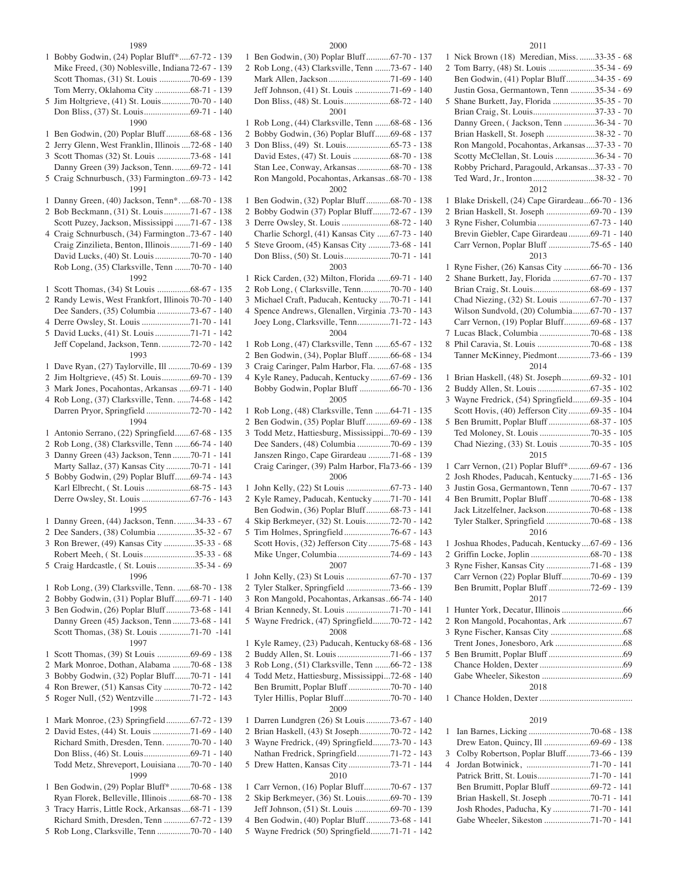#### 

| 1              | Bobby Godwin, (24) Poplar Bluff*67-72 - 139                                              |
|----------------|------------------------------------------------------------------------------------------|
|                | Mike Freed, (30) Noblesville, Indiana 72-67 - 139                                        |
|                | Scott Thomas, (31) St. Louis 70-69 - 139                                                 |
|                | Tom Merry, Oklahoma City 68-71 - 139                                                     |
| 5              | Jim Holtgrieve, (41) St. Louis70-70 - 140                                                |
|                |                                                                                          |
|                | 1990                                                                                     |
| 1              | Ben Godwin, (20) Poplar Bluff68-68 - 136                                                 |
| 2              | Jerry Glenn, West Franklin, Illinois  72-68 - 140                                        |
| 3              | Scott Thomas (32) St. Louis 73-68 - 141                                                  |
|                | Danny Green (39) Jackson, Tenn.  69-72 - 141                                             |
|                |                                                                                          |
| 5              | Craig Schnurbusch, (33) Farmington 69-73 - 142                                           |
|                | 1991                                                                                     |
| 1              | Danny Green, (40) Jackson, Tenn*68-70 - 138                                              |
|                | 2 Bob Beckmann, (31) St. Louis71-67 - 138                                                |
|                | Scott Puzey, Jackson, Mississippi 71-67 - 138                                            |
|                | 4 Craig Schnurbusch, (34) Farmington  73-67 - 140                                        |
|                | Craig Zinzilieta, Benton, Illinois71-69 - 140                                            |
|                | David Lucks, (40) St. Louis 70-70 - 140                                                  |
|                | Rob Long, (35) Clarksville, Tenn 70-70 - 140                                             |
|                | 1992                                                                                     |
| 1              | Scott Thomas, (34) St Louis 68-67 - 135                                                  |
| 2              | Randy Lewis, West Frankfort, Illinois 70-70 - 140                                        |
|                | Dee Sanders, (35) Columbia 73-67 - 140                                                   |
| 4              | Derre Owsley, St. Louis 71-70 - 141                                                      |
| 5              | David Lucks, (41) St. Louis 71-71 - 142                                                  |
|                | Jeff Copeland, Jackson, Tenn. 72-70 - 142                                                |
|                | 1993                                                                                     |
| 1              | Dave Ryan, (27) Taylorville, Ill 70-69 - 139                                             |
| 2              | Jim Holtgrieve, (45) St. Louis69-70 - 139                                                |
| 3              | Mark Jones, Pocahontas, Arkansas  69-71 - 140                                            |
| 4              | Rob Long, (37) Clarksville, Tenn. 74-68 - 142                                            |
|                | Darren Pryor, Springfield 72-70 - 142                                                    |
|                | 1994                                                                                     |
| 1              | Antonio Serrano, (22) Springfield67-68 - 135                                             |
| 2              | Rob Long, (38) Clarksville, Tenn 66-74 - 140                                             |
| 3              | Danny Green (43) Jackson, Tenn 70-71 - 141                                               |
|                | Marty Sallaz, (37) Kansas City 70-71 - 141                                               |
|                | 5 Bobby Godwin, (29) Poplar Bluff69-74 - 143                                             |
|                | Karl Elbrecht, (St. Louis 68-75 - 143                                                    |
|                | Derre Owsley, St. Louis  67-76 - 143                                                     |
|                | 1995                                                                                     |
| 1              | Danny Green, (44) Jackson, Tenn. 34-33 - 67                                              |
| $\overline{2}$ | Dee Sanders, (38) Columbia 35-32 - 67                                                    |
| 3              | Ron Brewer, (49) Kansas City 35-33 - 68                                                  |
|                | Robert Meeh, (St. Louis 35-33 - 68                                                       |
|                | 5 Craig Hardcastle, (St. Louis 35-34 - 69                                                |
|                | 1996                                                                                     |
|                |                                                                                          |
| 1              | Rob Long, (39) Clarksville, Tenn. 68-70 - 138                                            |
| 2              | Bobby Godwin, (31) Poplar Bluff69-71 - 140<br>3 Ben Godwin, (26) Poplar Bluff73-68 - 141 |
|                |                                                                                          |
|                | Danny Green (45) Jackson, Tenn 73-68 - 141                                               |
|                | Scott Thomas, (38) St. Louis 71-70 -141                                                  |
|                | 1997                                                                                     |
| 1              | Scott Thomas, (39) St Louis 69-69 - 138                                                  |
| 2              | Mark Monroe, Dothan, Alabama 70-68 - 138                                                 |
| 3              | Bobby Godwin, (32) Poplar Bluff70-71 - 141                                               |
|                | 4 Ron Brewer, (51) Kansas City 70-72 - 142                                               |
| 5              | Roger Null, (52) Wentzville 71-72 - 143                                                  |
|                | 1998                                                                                     |
| 1              | Mark Monroe, (23) Springfield67-72 - 139                                                 |
|                | 2 David Estes, (44) St. Louis 71-69 - 140                                                |
|                | Richard Smith, Dresden, Tenn. 70-70 - 140                                                |
|                |                                                                                          |
|                | Todd Metz, Shreveport, Louisiana 70-70 - 140                                             |
|                | 1999                                                                                     |
| 1              | Ben Godwin, (29) Poplar Bluff* 70-68 - 138                                               |
|                | Ryan Florek, Belleville, Illinois 68-70 - 138                                            |
| 3              | Tracy Harris, Little Rock, Arkansas68-71 - 139                                           |
|                | Richard Smith, Dresden, Tenn 67-72 - 139                                                 |
| 5              | Rob Long, Clarksville, Tenn 70-70 - 140                                                  |

| Ben Godwin, (30) Poplar Bluff67-70 - 137<br>1                                           |  |
|-----------------------------------------------------------------------------------------|--|
| 2 Rob Long, (43) Clarksville, Tenn 73-67 - 140                                          |  |
|                                                                                         |  |
| Jeff Johnson, (41) St. Louis 71-69 - 140                                                |  |
|                                                                                         |  |
|                                                                                         |  |
| 2001                                                                                    |  |
| Rob Long, (44) Clarksville, Tenn 68-68 - 136<br>1                                       |  |
| 2 Bobby Godwin, (36) Poplar Bluff69-68 - 137                                            |  |
| 3                                                                                       |  |
| David Estes, (47) St. Louis 68-70 - 138                                                 |  |
| Stan Lee, Conway, Arkansas 68-70 - 138                                                  |  |
|                                                                                         |  |
| Ron Mangold, Pocahontas, Arkansas68-70 - 138                                            |  |
| 2002                                                                                    |  |
| Ben Godwin, (32) Poplar Bluff68-70 - 138<br>1                                           |  |
| 2 Bobby Godwin (37) Poplar Bluff72-67 - 139                                             |  |
| 3                                                                                       |  |
| Charlie Schorgl, (41) Kansas City 67-73 - 140                                           |  |
| Steve Groom, (45) Kansas City 73-68 - 141<br>5                                          |  |
|                                                                                         |  |
|                                                                                         |  |
| 2003                                                                                    |  |
| Rick Carden, (32) Milton, Florida 69-71 - 140<br>1                                      |  |
| Rob Long, (Clarksville, Tenn70-70 - 140<br>2                                            |  |
| 3 Michael Craft, Paducah, Kentucky 70-71 - 141                                          |  |
| Spence Andrews, Glenallen, Virginia .73-70 - 143<br>4                                   |  |
| Joey Long, Clarksville, Tenn71-72 - 143                                                 |  |
| 2004                                                                                    |  |
|                                                                                         |  |
| Rob Long, (47) Clarksville, Tenn 65-67 - 132<br>1                                       |  |
| Ben Godwin, (34), Poplar Bluff66-68 - 134<br>$\overline{2}$                             |  |
| 3 Craig Caringer, Palm Harbor, Fla.  67-68 - 135                                        |  |
| Kyle Raney, Paducah, Kentucky 67-69 - 136<br>4                                          |  |
| Bobby Godwin, Poplar Bluff 66-70 - 136                                                  |  |
| 2005                                                                                    |  |
| Rob Long, (48) Clarksville, Tenn  64-71 - 135                                           |  |
| 1                                                                                       |  |
| Ben Godwin, (35) Poplar Bluff 69-69 - 138<br>2                                          |  |
| Todd Metz, Hattiesburg, Mississippi70-69 - 139<br>3                                     |  |
| Dee Sanders, (48) Columbia 70-69 - 139                                                  |  |
| Janszen Ringo, Cape Girardeau 71-68 - 139                                               |  |
| Craig Caringer, (39) Palm Harbor, Fla73-66 - 139                                        |  |
| 2006                                                                                    |  |
| 1                                                                                       |  |
| 2 Kyle Ramey, Paducah, Kentucky71-70 - 141                                              |  |
| Ben Godwin, (36) Poplar Bluff 68-73 - 141                                               |  |
|                                                                                         |  |
| 4 Skip Berkmeyer, (32) St. Louis72-70 - 142                                             |  |
| Tim Holmes, Springfield76-67 - 143<br>5                                                 |  |
| Scott Hovis, (32) Jefferson City75-68 - 143                                             |  |
| Mike Unger, Columbia74-69 - 143                                                         |  |
| 2007                                                                                    |  |
| 1                                                                                       |  |
| 2                                                                                       |  |
| Ron Mangold, Pocahontas, Arkansas66-74 - 140<br>3                                       |  |
|                                                                                         |  |
| Brian Kennedy, St. Louis 71-70 - 141<br>4                                               |  |
| Wayne Fredrick, (47) Springfield70-72 - 142<br>5                                        |  |
| 2008                                                                                    |  |
| Kyle Ramey, (23) Paducah, Kentucky 68-68 - 136<br>1                                     |  |
| 2                                                                                       |  |
| Rob Long, (51) Clarksville, Tenn 66-72 - 138<br>3                                       |  |
| 4 Todd Metz, Hattiesburg, Mississippi72-68 - 140                                        |  |
| Ben Brumitt, Poplar Bluff 70-70 - 140                                                   |  |
|                                                                                         |  |
| 2009                                                                                    |  |
|                                                                                         |  |
| Darren Lundgren (26) St Louis 73-67 - 140<br>1                                          |  |
| 2 Brian Haskell, (43) St Joseph70-72 - 142                                              |  |
| 3 Wayne Fredrick, (49) Springfield73-70 - 143                                           |  |
| Nathan Fredrick, Springfield71-72 - 143                                                 |  |
|                                                                                         |  |
| Drew Hatten, Kansas City73-71 - 144<br>5                                                |  |
| 2010                                                                                    |  |
| 1                                                                                       |  |
| Carr Vernon, (16) Poplar Bluff70-67 - 137                                               |  |
| 2 Skip Berkmeyer, (36) St. Louis69-70 - 139                                             |  |
| Jeff Johnson, (51) St. Louis 69-70 - 139<br>4 Ben Godwin, (40) Poplar Bluff 73-68 - 141 |  |

Wayne Fredrick (50) Springfield.........71-71 - 142

# 

| 1 | Nick Brown (18) Meredian, Miss. 33-35 - 68          |
|---|-----------------------------------------------------|
|   | 2 Tom Barry, (48) St. Louis 35-34 - 69              |
|   | Ben Godwin, (41) Poplar Bluff 34-35 - 69            |
|   | Justin Gosa, Germantown, Tenn 35-34 - 69            |
| 5 | Shane Burkett, Jay, Florida 35-35 - 70              |
|   | Brian Craig, St. Louis37-33 - 70                    |
|   | Danny Green, (Jackson, Tenn 36-34 - 70              |
|   | Brian Haskell, St. Joseph 38-32 - 70                |
|   | Ron Mangold, Pocahontas, Arkansas37-33 - 70         |
|   | Scotty McClellan, St. Louis 36-34 - 70              |
|   | Robby Prichard, Paragould, Arkansas37-33 - 70       |
|   | Ted Ward, Jr., Ironton 38-32 - 70                   |
|   | 2012                                                |
| 1 | Blake Driskell, (24) Cape Girardeau66-70 - 136      |
| 2 | Brian Haskell, St. Joseph 69-70 - 139               |
| 3 |                                                     |
|   | Brevin Giebler, Cape Girardeau 69-71 - 140          |
|   | Carr Vernon, Poplar Bluff 75-65 - 140               |
|   | 2013                                                |
| 1 | Ryne Fisher, (26) Kansas City 66-70 - 136           |
|   | 2 Shane Burkett, Jay, Florida 67-70 - 137           |
|   |                                                     |
|   | Chad Niezing, (32) St. Louis 67-70 - 137            |
|   | Wilson Sundvold, (20) Columbia67-70 - 137           |
|   | Carr Vernon, (19) Poplar Bluff69-68 - 137           |
| 7 |                                                     |
|   |                                                     |
|   | Tanner McKinney, Piedmont73-66 - 139                |
|   | 2014                                                |
| 1 | Brian Haskell, (48) St. Joseph69-32 - 101           |
| 2 |                                                     |
| 3 | Wayne Fredrick, (54) Springfield69-35 - 104         |
|   | Scott Hovis, (40) Jefferson City69-35 - 104         |
| 5 | Ben Brumitt, Poplar Bluff 68-37 - 105               |
|   | Ted Moloney, St. Louis 70-35 - 105                  |
|   | Chad Niezing, (33) St. Louis 70-35 - 105            |
|   | 2015                                                |
| 1 | Carr Vernon, (21) Poplar Bluff*69-67 - 136          |
| 2 | Josh Rhodes, Paducah, Kentucky71-65 - 136           |
| 3 | Justin Gosa, Germantown, Tenn 70-67 - 137           |
| 4 | Ben Brumitt, Poplar Bluff 70-68 - 138               |
|   | Jack Litzelfelner, Jackson70-68 - 138               |
|   | Tyler Stalker, Springfield 70-68 - 138              |
|   | 2016<br>Joshua Rhodes, Paducah, Kentucky67-69 - 136 |
| 1 |                                                     |
|   |                                                     |
|   | Carr Vernon (22) Poplar Bluff70-69 - 139            |
|   | Ben Brumitt, Poplar Bluff 72-69 - 139               |
|   | 2017                                                |
| 1 |                                                     |
| 2 |                                                     |
| 3 |                                                     |
|   |                                                     |
| 5 |                                                     |
|   |                                                     |
|   |                                                     |
|   | 2018                                                |
| 1 |                                                     |
|   |                                                     |
|   | 2019                                                |
| 1 |                                                     |
|   | Drew Eaton, Quincy, Ill 69-69 - 138                 |
| 3 | Colby Robertson, Poplar Bluff73-66 - 139            |

| 3 Colby Robertson, Poplar Bluff73-66 - 139 |  |
|--------------------------------------------|--|
|                                            |  |
|                                            |  |
| Ben Brumitt, Poplar Bluff69-72 - 141       |  |
|                                            |  |
|                                            |  |
|                                            |  |
|                                            |  |